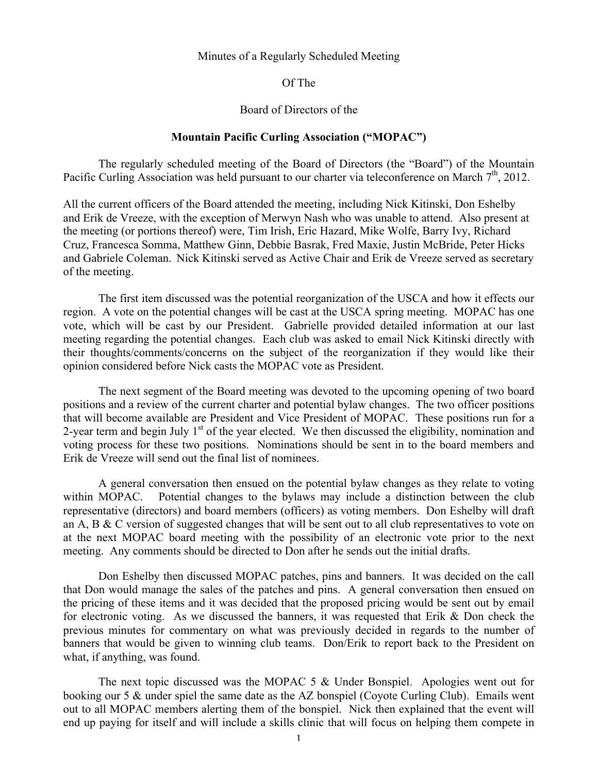## Minutes of a Regularly Scheduled Meeting

Of The

## Board of Directors of the

## **Mountain Pacific Curling Association ("MOPAC")**

The regularly scheduled meeting of the Board of Directors (the "Board") of the Mountain Pacific Curling Association was held pursuant to our charter via teleconference on March  $7<sup>th</sup>$ , 2012.

All the current officers of the Board attended the meeting, including Nick Kitinski, Don Eshelby and Erik de Vreeze, with the exception of Merwyn Nash who was unable to attend. Also present at the meeting (or portions thereof) were, Tim Irish, Eric Hazard, Mike Wolfe, Barry Ivy, Richard Cruz, Francesca Somma, Matthew Ginn, Debbie Basrak, Fred Maxie, Justin McBride, Peter Hicks and Gabriele Coleman. Nick Kitinski served as Active Chair and Erik de Vreeze served as secretary of the meeting.

The first item discussed was the potential reorganization of the USCA and how it effects our region. A vote on the potential changes will be cast at the USCA spring meeting. MOPAC has one vote, which will be cast by our President. Gabrielle provided detailed information at our last meeting regarding the potential changes. Each club was asked to email Nick Kitinski directly with their thoughts/comments/concerns on the subject of the reorganization if they would like their opinion considered before Nick casts the MOPAC vote as President.

The next segment of the Board meeting was devoted to the upcoming opening of two board positions and a review of the current charter and potential bylaw changes. The two officer positions that will become available are President and Vice President of MOPAC. These positions run for a 2-year term and begin July  $1<sup>st</sup>$  of the year elected. We then discussed the eligibility, nomination and voting process for these two positions. Nominations should be sent in to the board members and Erik de Vreeze will send out the final list of nominees.

A general conversation then ensued on the potential bylaw changes as they relate to voting within MOPAC. Potential changes to the bylaws may include a distinction between the club representative (directors) and board members (officers) as voting members. Don Eshelby will draft an A, B & C version of suggested changes that will be sent out to all club representatives to vote on at the next MOPAC board meeting with the possibility of an electronic vote prior to the next meeting. Any comments should be directed to Don after he sends out the initial drafts.

Don Eshelby then discussed MOPAC patches, pins and banners. It was decided on the call that Don would manage the sales of the patches and pins. A general conversation then ensued on the pricing of these items and it was decided that the proposed pricing would be sent out by email for electronic voting. As we discussed the banners, it was requested that Erik & Don check the previous minutes for commentary on what was previously decided in regards to the number of banners that would be given to winning club teams. Don/Erik to report back to the President on what, if anything, was found.

The next topic discussed was the MOPAC 5 & Under Bonspiel. Apologies went out for booking our 5 & under spiel the same date as the AZ bonspiel (Coyote Curling Club). Emails went out to all MOPAC members alerting them of the bonspiel. Nick then explained that the event will end up paying for itself and will include a skills clinic that will focus on helping them compete in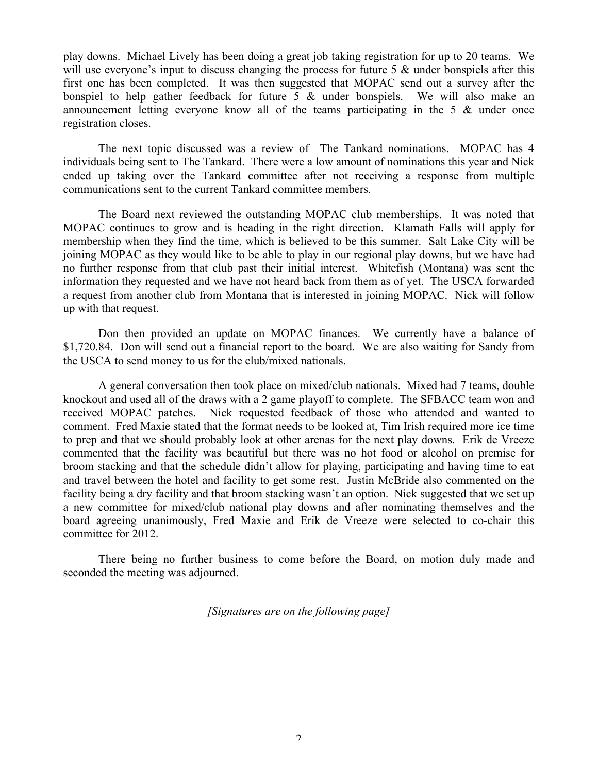play downs. Michael Lively has been doing a great job taking registration for up to 20 teams. We will use everyone's input to discuss changing the process for future 5  $\&$  under bonspiels after this first one has been completed. It was then suggested that MOPAC send out a survey after the bonspiel to help gather feedback for future 5 & under bonspiels. We will also make an announcement letting everyone know all of the teams participating in the 5 & under once registration closes.

The next topic discussed was a review of The Tankard nominations. MOPAC has 4 individuals being sent to The Tankard. There were a low amount of nominations this year and Nick ended up taking over the Tankard committee after not receiving a response from multiple communications sent to the current Tankard committee members.

The Board next reviewed the outstanding MOPAC club memberships. It was noted that MOPAC continues to grow and is heading in the right direction. Klamath Falls will apply for membership when they find the time, which is believed to be this summer. Salt Lake City will be joining MOPAC as they would like to be able to play in our regional play downs, but we have had no further response from that club past their initial interest. Whitefish (Montana) was sent the information they requested and we have not heard back from them as of yet. The USCA forwarded a request from another club from Montana that is interested in joining MOPAC. Nick will follow up with that request.

Don then provided an update on MOPAC finances. We currently have a balance of \$1,720.84. Don will send out a financial report to the board. We are also waiting for Sandy from the USCA to send money to us for the club/mixed nationals.

A general conversation then took place on mixed/club nationals. Mixed had 7 teams, double knockout and used all of the draws with a 2 game playoff to complete. The SFBACC team won and received MOPAC patches. Nick requested feedback of those who attended and wanted to comment. Fred Maxie stated that the format needs to be looked at, Tim Irish required more ice time to prep and that we should probably look at other arenas for the next play downs. Erik de Vreeze commented that the facility was beautiful but there was no hot food or alcohol on premise for broom stacking and that the schedule didn't allow for playing, participating and having time to eat and travel between the hotel and facility to get some rest. Justin McBride also commented on the facility being a dry facility and that broom stacking wasn't an option. Nick suggested that we set up a new committee for mixed/club national play downs and after nominating themselves and the board agreeing unanimously, Fred Maxie and Erik de Vreeze were selected to co-chair this committee for 2012.

There being no further business to come before the Board, on motion duly made and seconded the meeting was adjourned.

*[Signatures are on the following page]*